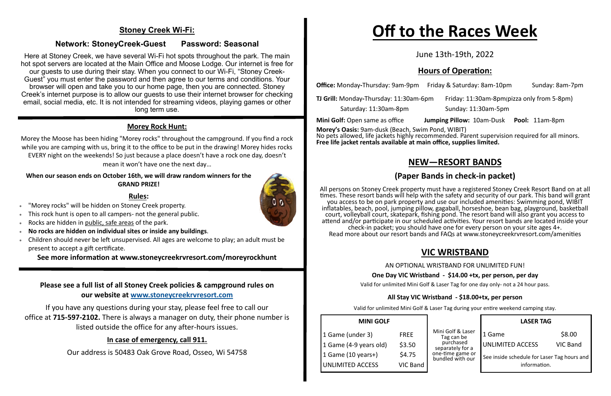### **Stoney Creek Wi-Fi:**

### **Network: StoneyCreek-Guest Password: Seasonal**

Here at Stoney Creek, we have several Wi-Fi hot spots throughout the park. The main hot spot servers are located at the Main Office and Moose Lodge. Our internet is free for our guests to use during their stay. When you connect to our Wi-Fi, "Stoney Creek-Guest" you must enter the password and then agree to our terms and conditions. Your browser will open and take you to our home page, then you are connected. Stoney Creek's internet purpose is to allow our guests to use their internet browser for checking email, social media, etc. It is not intended for streaming videos, playing games or other long term use.

#### **Morey Rock Hunt:**

- "Morey rocks" will be hidden on Stoney Creek property.
- This rock hunt is open to all campers- not the general public.
- Rocks are hidden in public, safe areas of the park.
- **No rocks are hidden on individual sites or inside any buildings**.
- Children should never be left unsupervised. All ages are welcome to play; an adult must be present to accept a gift certificate.

Morey the Moose has been hiding "Morey rocks" throughout the campground. If you find a rock while you are camping with us, bring it to the office to be put in the drawing! Morey hides rocks EVERY night on the weekends! So just because a place doesn't have a rock one day, doesn't mean it won't have one the next day…

#### **When our season ends on October 16th, we will draw random winners for the GRAND PRIZE!**

#### **Rules:**

**See more information at www.stoneycreekrvresort.com/moreyrockhunt**

#### **Please see a full list of all Stoney Creek policies & campground rules on our website at [www.stoneycreekrvresort.com](http://www.stoneycreekrvresort.com)**

If you have any questions during your stay, please feel free to call our office at **715-597-2102.** There is always a manager on duty, their phone number is listed outside the office for any after-hours issues.

#### **In case of emergency, call 911.**

Our address is 50483 Oak Grove Road, Osseo, Wi 54758

# **Off to the Races Week**

June 13th-19th, 2022

### **Hours of Operation:**

**Office:** Monday-Thursday: 9am-9pm Friday & Saturday: 8am-10pm Sunday: 8am-7pm

**TJ Grill:** Monday**-**Thursday: 11:30am-6pm Friday: 11:30am-8pm(pizza only from 5-8pm)

Saturday: 11:30am-8pm Sunday: 11:30am-5pm

**Mini Golf:** Open same as office **Jumping Pillow:** 10am-Dusk **Pool:** 11am-8pm

**Morey's Oasis:** 9am-dusk (Beach, Swim Pond, WIBIT) No pets allowed, life jackets highly recommended. Parent supervision required for all minors. **Free life jacket rentals available at main office, supplies limited.**

## **NEW—RESORT BANDS**

### **(Paper Bands in check-in packet)**

All persons on Stoney Creek property must have a registered Stoney Creek Resort Band on at all times. These resort bands will help with the safety and security of our park. This band will grant you access to be on park property and use our included amenities: Swimming pond, WIBIT inflatables, beach, pool, jumping pillow, gagaball, horseshoe, bean bag, playground, basketball court, volleyball court, skatepark, fishing pond. The resort band will also grant you access to attend and/or participate in our scheduled activities. Your resort bands are located inside your check-in packet; you should have one for every person on your site ages 4+. Read more about our resort bands and FAQs at www.stoneycreekrvresort.com/amenities

### **VIC WRISTBAND**

AN OPTIONAL WRISTBAND FOR UNLIMITED FUN!

#### **One Day VIC Wristband - \$14.00 +tx, per person, per day**

Valid for unlimited Mini Golf & Laser Tag for one day only- not a 24 hour pass.

#### **All Stay VIC Wristband - \$18.00+tx, per person**

Valid for unlimited Mini Golf & Laser Tag during your entire weekend camping stay.

| <b>MINI GOLF</b>        |             |
|-------------------------|-------------|
| 1 Game (under 3)        | <b>FREE</b> |
| 1 Game (4-9 years old)  | \$3.50      |
| 1 Game (10 years+)      | \$4.75      |
| <b>UNLIMITED ACCESS</b> | VIC Band    |



|                                                                                                          | <b>LASER TAG</b>                                                                 |                           |
|----------------------------------------------------------------------------------------------------------|----------------------------------------------------------------------------------|---------------------------|
| Mini Golf & Laser<br>Tag can be<br>purchased<br>separately for a<br>one-time game or<br>bundled with our | 1 Game<br><b>UNLIMITED ACCESS</b><br>See inside schedule for Laser Tag hours and | \$8.00<br><b>VIC Band</b> |
|                                                                                                          | information.                                                                     |                           |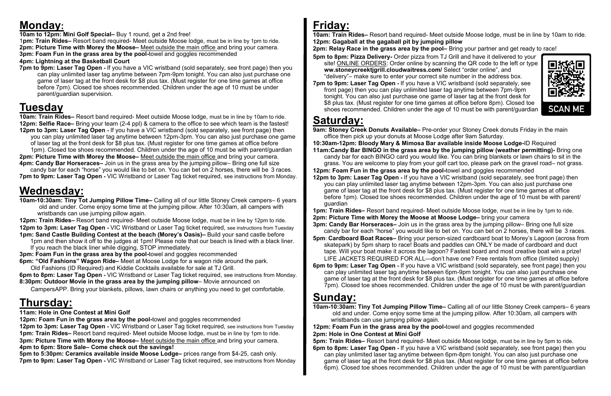## **Monday:**

**10am to 12pm: Mini Golf Special–** Buy 1 round, get a 2nd free!

1**pm: Train Rides–** Resort band required- Meet outside Moose lodge, must be in line by 1pm to ride. **2pm: Picture Time with Morey the Moose–** Meet outside the main office and bring your camera. **3pm: Foam Fun in the grass area by the pool-**towel and goggles recommended

**4pm: Lightning at the Basketball Court**

**7pm to 9pm: Laser Tag Open -** If you have a VIC wristband (sold separately, see front page) then you can play unlimited laser tag anytime between 7pm-9pm tonight. You can also just purchase one game of laser tag at the front desk for \$8 plus tax. (Must register for one time games at office before 7pm). Closed toe shoes recommended. Children under the age of 10 must be under parent/guardian supervision.

## **Tuesday**

**10am: Train Rides–** Resort band required- Meet outside Moose lodge, must be in line by 10am to ride. **12pm: Selfie Race–** Bring your team (2-4 ppl) & camera to the office to see which team is the fastest! **12pm to 3pm: Laser Tag Open -** If you have a VIC wristband (sold separately, see front page) then

you can play unlimited laser tag anytime between 12pm-3pm. You can also just purchase one game of laser tag at the front desk for \$8 plus tax. (Must register for one time games at office before 1pm). Closed toe shoes recommended. Children under the age of 10 must be with parent/guardian

**2pm: Picture Time with Morey the Moose–** Meet outside the main office and bring your camera. **4pm: Candy Bar Horseraces–** Join us in the grass area by the jumping pillow– Bring one full size

candy bar for each "horse" you would like to bet on. You can bet on 2 horses, there will be 3 races. **7pm to 9pm: Laser Tag Open -** VIC Wristband or Laser Tag ticket required, see instructions from Monday.

## **Wednesday:**

**10am-10:30am: Tiny Tot Jumping Pillow Time–** Calling all of our little Stoney Creek campers– 6 years old and under. Come enjoy some time at the jumping pillow. After 10:30am, all campers with wristbands can use jumping pillow again.

**12pm: Train Rides–** Resort band required- Meet outside Moose lodge, must be in line by 12pm to ride. **12pm to 3pm: Laser Tag Open -** VIC Wristband or Laser Tag ticket required, see instructions from Tuesday **1pm: Sand Castle Building Contest at the beach (Morey's Oasis)–** Build your sand castle before

1pm and then show it off to the judges at 1pm! Please note that our beach is lined with a black liner. If you reach the black liner while digging, STOP immediately.

**3pm: Foam Fun in the grass area by the pool-**towel and goggles recommended

**6pm: "Old Fashions" Wagon Ride–** Meet at Moose Lodge for a wagon ride around the park.

Old Fashions (ID Required) and Kiddie Cocktails available for sale at TJ Grill.

**6pm to 8pm: Laser Tag Open -** VIC Wristband or Laser Tag ticket required, see instructions from Monday. **8:30pm: Outdoor Movie in the grass area by the jumping pillow**– Movie announced on

CampersAPP. Bring your blankets, pillows, lawn chairs or anything you need to get comfortable.

## **Thursday:**

**11am: Hole in One Contest at Mini Golf**

**12pm: Foam Fun in the grass area by the pool-**towel and goggles recommended

**12pm to 3pm: Laser Tag Open -** VIC Wristband or Laser Tag ticket required, see instructions from Tuesday **1pm: Train Rides–** Resort band required- Meet outside Moose lodge, must be in line by 1pm to ride. **3pm: Picture Time with Morey the Moose–** Meet outside the main office and bring your camera. **4pm to 6pm: Store Sale– Come check out the savings!**

**5pm to 5:30pm: Ceramics available inside Moose Lodge–** prices range from \$4-25, cash only. **7pm to 9pm: Laser Tag Open -** VIC Wristband or Laser Tag ticket required, see instructions from Monday

# **Friday:**

**10am: Train Rides–** Resort band required- Meet outside Moose lodge, must be in line by 10am to ride. **12pm: Gagaball at the gagaball pit by jumping pillow 2pm: Relay Race in the grass area by the pool–** Bring your partner and get ready to race!

- **5pm to 8pm: Pizza Delivery-** Order pizza from TJ Grill and have it delivered to your site! ONLINE ORDERS: Order online by scanning the QR code to the left or type **ww.stoneycreektjgrill.cloudwaitress.com/** Select "order online", and "delivery"– make sure to enter your correct site number in the address box.
- **7pm to 9pm: Laser Tag Open -** If you have a VIC wristband (sold separately, see front page) then you can play unlimited laser tag anytime between 7pm-9pm tonight. You can also just purchase one game of laser tag at the front desk for \$8 plus tax. (Must register for one time games at office before 8pm). Closed toe shoes recommended. Children under the age of 10 must be with parent/guardian

## **Saturday:**

**9am: Stoney Creek Donuts Available–** Pre-order your Stoney Creek donuts Friday in the main office then pick up your donuts at Moose Lodge after 9am Saturday.

**10:30am-12pm: Bloody Mary & Mimosa Bar available inside Moose Lodge-**ID Required **11am:Candy Bar BINGO in the grass area by the jumping pillow (weather permitting)-** Bring one candy bar for each BINGO card you would like. You can bring blankets or lawn chairs to sit in the grass. You are welcome to play from your golf cart too, please park on the gravel road– not grass. **12pm: Foam Fun in the grass area by the pool-**towel and goggles recommended

**12pm to 3pm: Laser Tag Open -** If you have a VIC wristband (sold separately, see front page) then

you can play unlimited laser tag anytime between 12pm-3pm. You can also just purchase one game of laser tag at the front desk for \$8 plus tax. (Must register for one time games at office guardian

before 1pm). Closed toe shoes recommended. Children under the age of 10 must be with parent/

**1pm: Train Rides–** Resort band required- Meet outside Moose lodge, must be in line by 1pm to ride. **2pm: Picture Time with Morey the Moose at Moose Lodge–** bring your camera **3pm: Candy Bar Horseraces–** Join us in the grass area by the jumping pillow– Bring one full size

candy bar for each "horse" you would like to bet on. You can bet on 2 horses, there will be 3 races. **5pm**: **Cardboard Boat Races–** Bring your person-sized cardboard boat to Morey's Lagoon (across from skatepark) by 5pm sharp to race! Boats and paddles can ONLY be made of cardboard and duct tape. Will your boat make it across the lagoon? Fastest board and most creative boat win a prize! LIFE JACKETS REQUIRED FOR ALL—don't have one? Free rentals from office (limited supply) can play unlimited laser tag anytime between 6pm-9pm tonight. You can also just purchase one game of laser tag at the front desk for \$8 plus tax. (Must register for one time games at office before 7pm). Closed toe shoes recommended. Children under the age of 10 must be with parent/guardian

- 
- 
- **6pm to 9pm: Laser Tag Open -** If you have a VIC wristband (sold separately, see front page) then you

## **Sunday:**

**10am-10:30am: Tiny Tot Jumping Pillow Time–** Calling all of our little Stoney Creek campers– 6 years old and under. Come enjoy some time at the jumping pillow. After 10:30am, all campers with wristbands can use jumping pillow again.

**12pm: Foam Fun in the grass area by the pool-**towel and goggles recommended **2pm: Hole in One Contest at Mini Golf**

**5pm: Train Rides–** Resort band required- Meet outside Moose lodge, must be in line by 5pm to ride. **6pm to 8pm: Laser Tag Open -** If you have a VIC wristband (sold separately, see front page) then you can play unlimited laser tag anytime between 6pm-8pm tonight. You can also just purchase one game of laser tag at the front desk for \$8 plus tax. (Must register for one time games at office before 6pm). Closed toe shoes recommended. Children under the age of 10 must be with parent/guardian